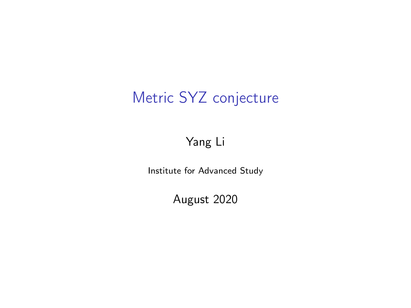# Metric SYZ conjecture

#### Yang Li

Institute for Advanced Study

August 2020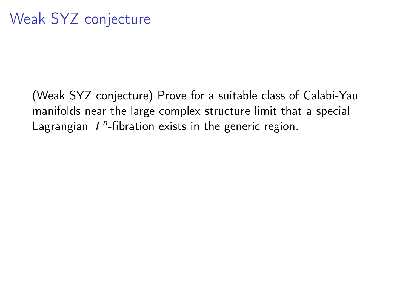(Weak SYZ conjecture) Prove for a suitable class of Calabi-Yau manifolds near the large complex structure limit that a special Lagrangian  $T<sup>n</sup>$ -fibration exists in the generic region.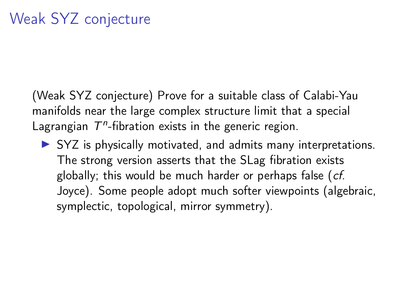(Weak SYZ conjecture) Prove for a suitable class of Calabi-Yau manifolds near the large complex structure limit that a special Lagrangian  $T<sup>n</sup>$ -fibration exists in the generic region.

 $\triangleright$  SYZ is physically motivated, and admits many interpretations. The strong version asserts that the SLag fibration exists globally; this would be much harder or perhaps false (cf. Joyce). Some people adopt much softer viewpoints (algebraic, symplectic, topological, mirror symmetry).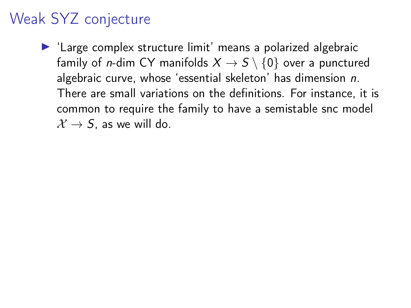$\blacktriangleright$  'Large complex structure limit' means a polarized algebraic family of *n*-dim CY manifolds  $X \rightarrow S \setminus \{0\}$  over a punctured algebraic curve, whose 'essential skeleton' has dimension n. There are small variations on the definitions. For instance, it is common to require the family to have a semistable snc model  $\mathcal{X} \rightarrow S$ , as we will do.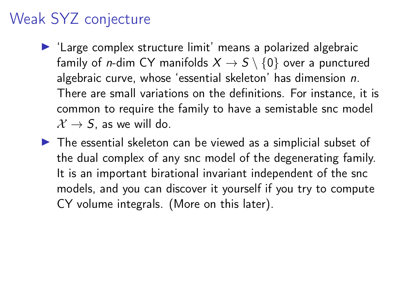- $\blacktriangleright$  'Large complex structure limit' means a polarized algebraic family of *n*-dim CY manifolds  $X \rightarrow S \setminus \{0\}$  over a punctured algebraic curve, whose 'essential skeleton' has dimension n. There are small variations on the definitions. For instance, it is common to require the family to have a semistable snc model  $\mathcal{X} \rightarrow S$ , as we will do.
- $\triangleright$  The essential skeleton can be viewed as a simplicial subset of the dual complex of any snc model of the degenerating family. It is an important birational invariant independent of the snc models, and you can discover it yourself if you try to compute CY volume integrals. (More on this later).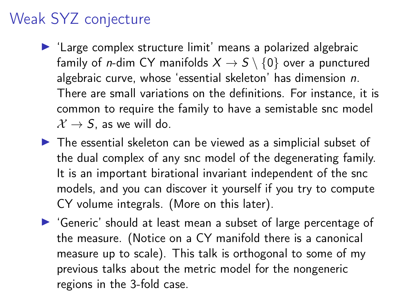- $\blacktriangleright$  'Large complex structure limit' means a polarized algebraic family of *n*-dim CY manifolds  $X \rightarrow S \setminus \{0\}$  over a punctured algebraic curve, whose 'essential skeleton' has dimension n. There are small variations on the definitions. For instance, it is common to require the family to have a semistable snc model  $\mathcal{X} \rightarrow S$ , as we will do.
- $\triangleright$  The essential skeleton can be viewed as a simplicial subset of the dual complex of any snc model of the degenerating family. It is an important birational invariant independent of the snc models, and you can discover it yourself if you try to compute CY volume integrals. (More on this later).
- I 'Generic' should at least mean a subset of large percentage of the measure. (Notice on a CY manifold there is a canonical measure up to scale). This talk is orthogonal to some of my previous talks about the metric model for the nongeneric regions in the 3-fold case.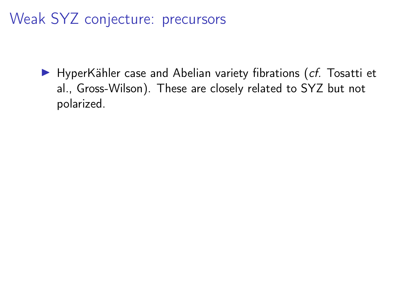Weak SYZ conjecture: precursors

 $\blacktriangleright$  HyperKähler case and Abelian variety fibrations (cf. Tosatti et al., Gross-Wilson). These are closely related to SYZ but not polarized.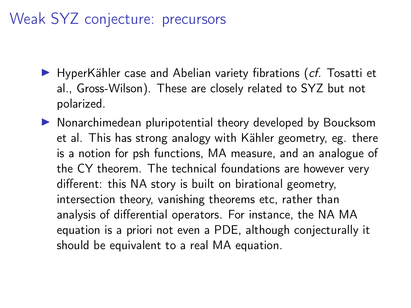#### Weak SYZ conjecture: precursors

- $\blacktriangleright$  HyperKähler case and Abelian variety fibrations (*cf.* Tosatti et al., Gross-Wilson). These are closely related to SYZ but not polarized.
- $\triangleright$  Nonarchimedean pluripotential theory developed by Boucksom et al. This has strong analogy with Kähler geometry, eg. there is a notion for psh functions, MA measure, and an analogue of the CY theorem. The technical foundations are however very different: this NA story is built on birational geometry, intersection theory, vanishing theorems etc, rather than analysis of differential operators. For instance, the NA MA equation is a priori not even a PDE, although conjecturally it should be equivalent to a real MA equation.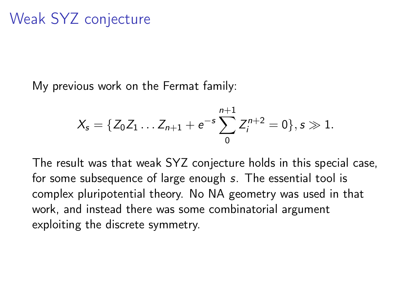My previous work on the Fermat family:

$$
X_s = \{Z_0 Z_1 \dots Z_{n+1} + e^{-s} \sum_{0}^{n+1} Z_i^{n+2} = 0\}, s \gg 1.
$$

The result was that weak SYZ conjecture holds in this special case, for some subsequence of large enough s. The essential tool is complex pluripotential theory. No NA geometry was used in that work, and instead there was some combinatorial argument exploiting the discrete symmetry.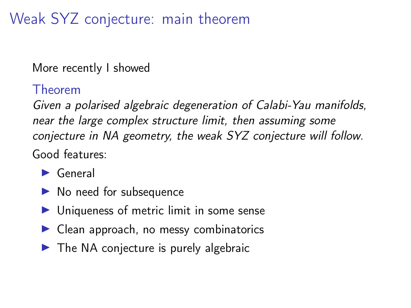Weak SYZ conjecture: main theorem

More recently I showed

#### Theorem

Given a polarised algebraic degeneration of Calabi-Yau manifolds, near the large complex structure limit, then assuming some conjecture in NA geometry, the weak SYZ conjecture will follow. Good features:

- $\blacktriangleright$  General
- $\blacktriangleright$  No need for subsequence
- $\triangleright$  Uniqueness of metric limit in some sense
- $\blacktriangleright$  Clean approach, no messy combinatorics
- $\triangleright$  The NA conjecture is purely algebraic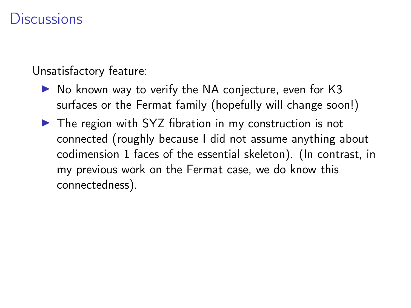#### **Discussions**

Unsatisfactory feature:

- $\triangleright$  No known way to verify the NA conjecture, even for K3 surfaces or the Fermat family (hopefully will change soon!)
- $\triangleright$  The region with SYZ fibration in my construction is not connected (roughly because I did not assume anything about codimension 1 faces of the essential skeleton). (In contrast, in my previous work on the Fermat case, we do know this connectedness).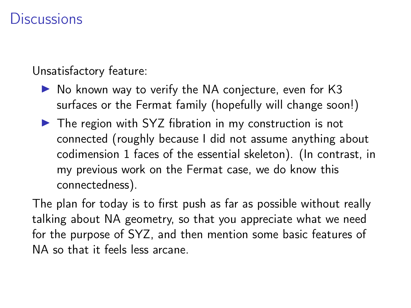#### **Discussions**

Unsatisfactory feature:

- $\triangleright$  No known way to verify the NA conjecture, even for K3 surfaces or the Fermat family (hopefully will change soon!)
- $\triangleright$  The region with SYZ fibration in my construction is not connected (roughly because I did not assume anything about codimension 1 faces of the essential skeleton). (In contrast, in my previous work on the Fermat case, we do know this connectedness).

The plan for today is to first push as far as possible without really talking about NA geometry, so that you appreciate what we need for the purpose of SYZ, and then mention some basic features of NA so that it feels less arcane.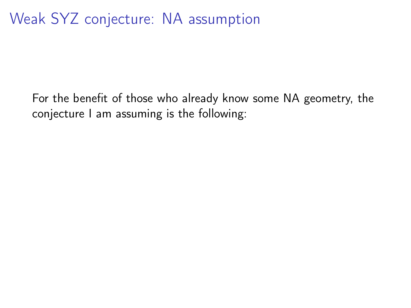For the benefit of those who already know some NA geometry, the conjecture I am assuming is the following: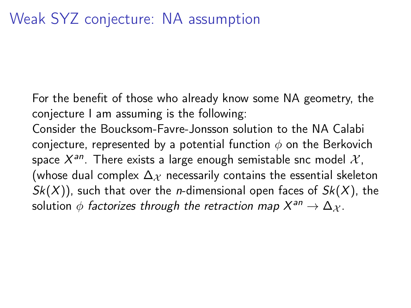For the benefit of those who already know some NA geometry, the conjecture I am assuming is the following:

Consider the Boucksom-Favre-Jonsson solution to the NA Calabi conjecture, represented by a potential function  $\phi$  on the Berkovich space  $X^{an}$ . There exists a large enough semistable snc model  $\mathcal{X},$ (whose dual complex  $\Delta_X$  necessarily contains the essential skeleton  $Sk(X)$ , such that over the *n*-dimensional open faces of  $Sk(X)$ , the solution  $\phi$  factorizes through the retraction map  $X^{an}\to \Delta_\mathcal{X}.$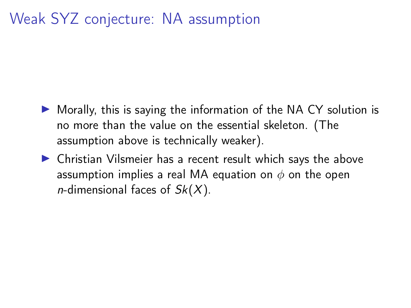#### Weak SYZ conjecture: NA assumption

- $\triangleright$  Morally, this is saying the information of the NA CY solution is no more than the value on the essential skeleton. (The assumption above is technically weaker).
- $\triangleright$  Christian Vilsmeier has a recent result which says the above assumption implies a real MA equation on  $\phi$  on the open *n*-dimensional faces of  $Sk(X)$ .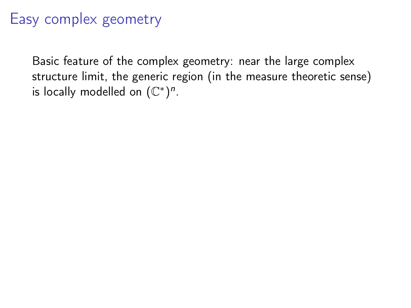Basic feature of the complex geometry: near the large complex structure limit, the generic region (in the measure theoretic sense) is locally modelled on  $(\mathbb{C}^*)^n$ .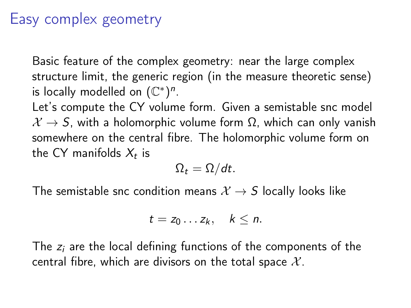Basic feature of the complex geometry: near the large complex structure limit, the generic region (in the measure theoretic sense) is locally modelled on  $(\mathbb{C}^*)^n$ .

Let's compute the CY volume form. Given a semistable snc model  $X \rightarrow S$ , with a holomorphic volume form  $\Omega$ , which can only vanish somewhere on the central fibre. The holomorphic volume form on the CY manifolds  $X_t$  is

$$
\Omega_t=\Omega/dt.
$$

The semistable snc condition means  $X \rightarrow S$  locally looks like

$$
t=z_0\ldots z_k,\quad k\leq n.
$$

The  $z_i$  are the local defining functions of the components of the central fibre, which are divisors on the total space  $\mathcal{X}$ .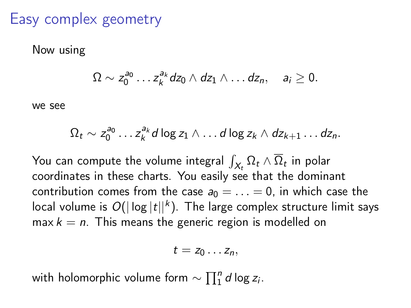Now using

$$
\Omega \sim z_0^{a_0} \ldots z_k^{a_k} dz_0 \wedge dz_1 \wedge \ldots dz_n, \quad a_i \geq 0.
$$

we see

$$
\Omega_t \sim z_0^{a_0} \dots z_k^{a_k} d \log z_1 \wedge \dots d \log z_k \wedge dz_{k+1} \dots dz_n.
$$

You can compute the volume integral  $\int_{X_t}\Omega_t\wedge\overline{\Omega}_t$  in polar coordinates in these charts. You easily see that the dominant contribution comes from the case  $a_0 = \ldots = 0$ , in which case the local volume is  $O(|\log |t||^k).$  The large complex structure limit says  $max k = n$ . This means the generic region is modelled on

$$
t=z_0\ldots z_n,
$$

with holomorphic volume form  $\sim \prod_1^{\bar n} d \log z_{\bar i}.$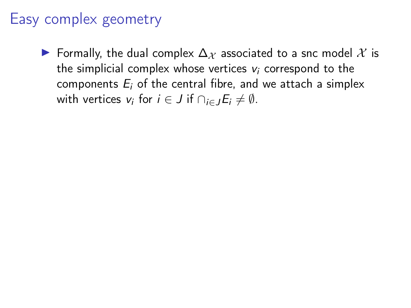$\triangleright$  Formally, the dual complex  $\Delta$ <sub>X</sub> associated to a snc model X is the simplicial complex whose vertices  $v_i$  correspond to the components  $E_i$  of the central fibre, and we attach a simplex with vertices  $v_i$  for  $i \in J$  if  $\cap_{i \in J} E_i \neq \emptyset$ .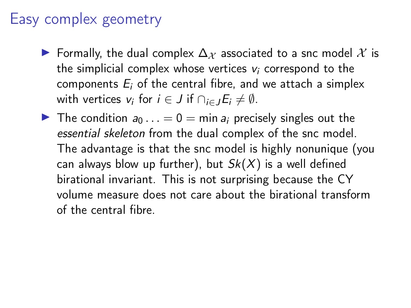- $\triangleright$  Formally, the dual complex  $\Delta_X$  associated to a snc model X is the simplicial complex whose vertices  $v_i$  correspond to the components  $E_i$  of the central fibre, and we attach a simplex with vertices  $v_i$  for  $i \in J$  if  $\cap_{i \in J} E_i \neq \emptyset$ .
- In The condition  $a_0 \ldots = 0 = \min a_i$  precisely singles out the essential skeleton from the dual complex of the snc model. The advantage is that the snc model is highly nonunique (you can always blow up further), but  $Sk(X)$  is a well defined birational invariant. This is not surprising because the CY volume measure does not care about the birational transform of the central fibre.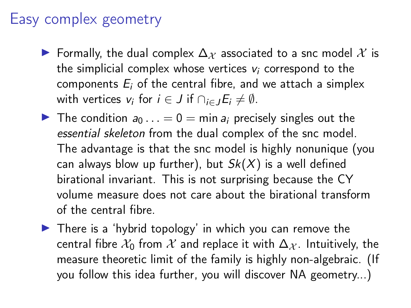- $\triangleright$  Formally, the dual complex  $\Delta_X$  associated to a snc model X is the simplicial complex whose vertices  $v_i$  correspond to the components  $E_i$  of the central fibre, and we attach a simplex with vertices  $v_i$  for  $i \in J$  if  $\cap_{i \in J} E_i \neq \emptyset$ .
- In The condition  $a_0 \ldots = 0 = \min a_i$  precisely singles out the essential skeleton from the dual complex of the snc model. The advantage is that the snc model is highly nonunique (you can always blow up further), but  $Sk(X)$  is a well defined birational invariant. This is not surprising because the CY volume measure does not care about the birational transform of the central fibre.
- $\blacktriangleright$  There is a 'hybrid topology' in which you can remove the central fibre  $\mathcal{X}_0$  from  $\mathcal X$  and replace it with  $\Delta_{\mathcal X}$ . Intuitively, the measure theoretic limit of the family is highly non-algebraic. (If you follow this idea further, you will discover NA geometry...)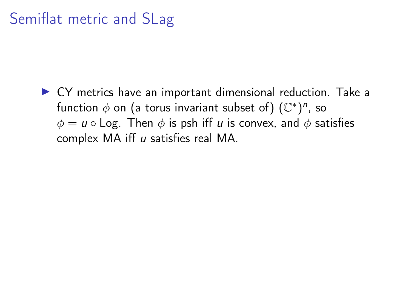#### Semiflat metric and SLag

 $\triangleright$  CY metrics have an important dimensional reduction. Take a function  $\phi$  on (a torus invariant subset of)  $(\mathbb{C}^*)^n$ , so  $\phi = u \circ \text{Log}$ . Then  $\phi$  is psh iff u is convex, and  $\phi$  satisfies complex MA iff u satisfies real MA.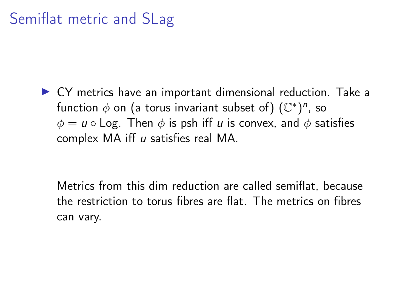#### Semiflat metric and SLag

 $\triangleright$  CY metrics have an important dimensional reduction. Take a function  $\phi$  on (a torus invariant subset of)  $(\mathbb{C}^*)^n$ , so  $\phi = u \circ \text{Log}$ . Then  $\phi$  is psh iff u is convex, and  $\phi$  satisfies complex MA iff u satisfies real MA.

Metrics from this dim reduction are called semiflat, because the restriction to torus fibres are flat. The metrics on fibres can vary.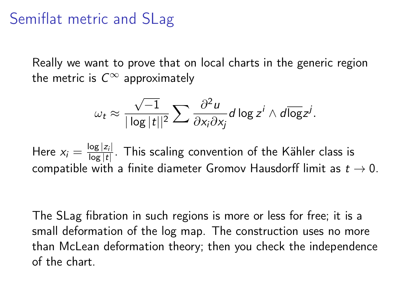#### Semiflat metric and SLag

Really we want to prove that on local charts in the generic region the metric is  $C^{\infty}$  approximately

$$
\omega_t \approx \frac{\sqrt{-1}}{|\log |t||^2} \sum \frac{\partial^2 u}{\partial x_i \partial x_j} d \log z^i \wedge d \overline{\log} z^j.
$$

Here  $x_i = \frac{\log |z_i|}{\log |t|}$  $\frac{\log |Z_i|}{\log |t|}$ . This scaling convention of the Kähler class is compatible with a finite diameter Gromov Hausdorff limit as  $t \to 0$ .

The SLag fibration in such regions is more or less for free; it is a small deformation of the log map. The construction uses no more than McLean deformation theory; then you check the independence of the chart.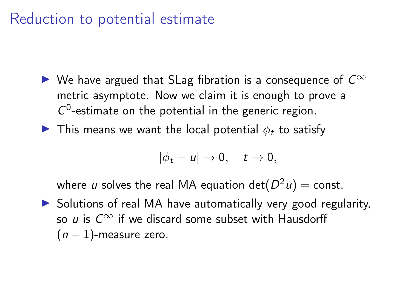#### Reduction to potential estimate

- ► We have argued that SLag fibration is a consequence of  $C^{\infty}$ metric asymptote. Now we claim it is enough to prove a  $C^0$ -estimate on the potential in the generic region.
- $\blacktriangleright$  This means we want the local potential  $\phi_t$  to satisfy

$$
|\phi_t - u| \to 0, \quad t \to 0,
$$

where  $u$  solves the real MA equation  $\det(D^2 u) = {\rm const.}$ 

 $\triangleright$  Solutions of real MA have automatically very good regularity, so u is  $C^{\infty}$  if we discard some subset with Hausdorff  $(n - 1)$ -measure zero.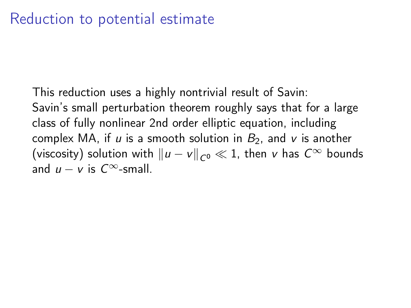This reduction uses a highly nontrivial result of Savin: Savin's small perturbation theorem roughly says that for a large class of fully nonlinear 2nd order elliptic equation, including complex MA, if u is a smooth solution in  $B_2$ , and v is another (viscosity) solution with  $||u - v||_{C^0} \ll 1$ , then v has  $C^{\infty}$  bounds and  $u - v$  is  $C^{\infty}$ -small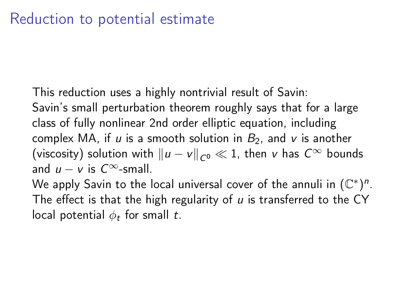This reduction uses a highly nontrivial result of Savin:

Savin's small perturbation theorem roughly says that for a large class of fully nonlinear 2nd order elliptic equation, including complex MA, if u is a smooth solution in  $B_2$ , and v is another (viscosity) solution with  $||u - v||_{C^0} \ll 1$ , then v has  $C^{\infty}$  bounds and  $u - v$  is  $C^{\infty}$ -small.

We apply Savin to the local universal cover of the annuli in  $(\mathbb{C}^*)^n$ . The effect is that the high regularity of  $u$  is transferred to the CY local potential  $\phi_t$  for small t.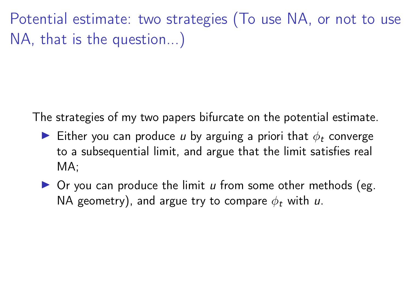Potential estimate: two strategies (To use NA, or not to use NA, that is the question...)

The strategies of my two papers bifurcate on the potential estimate.

- Either you can produce u by arguing a priori that  $\phi_t$  converge to a subsequential limit, and argue that the limit satisfies real MA;
- $\triangleright$  Or you can produce the limit u from some other methods (eg. NA geometry), and argue try to compare  $\phi_t$  with u.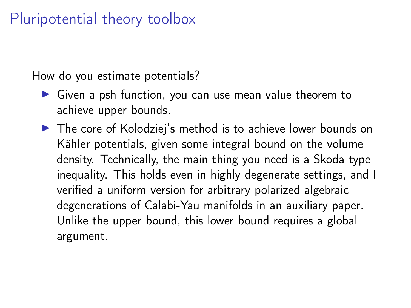#### Pluripotential theory toolbox

How do you estimate potentials?

- $\triangleright$  Given a psh function, you can use mean value theorem to achieve upper bounds.
- $\triangleright$  The core of Kolodziej's method is to achieve lower bounds on Kähler potentials, given some integral bound on the volume density. Technically, the main thing you need is a Skoda type inequality. This holds even in highly degenerate settings, and I verified a uniform version for arbitrary polarized algebraic degenerations of Calabi-Yau manifolds in an auxiliary paper. Unlike the upper bound, this lower bound requires a global argument.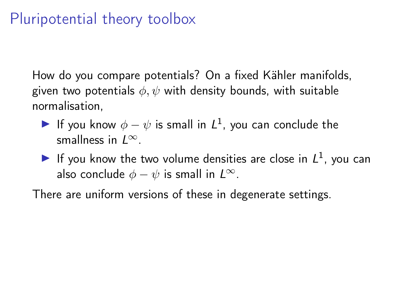#### Pluripotential theory toolbox

How do you compare potentials? On a fixed Kähler manifolds, given two potentials  $\phi, \psi$  with density bounds, with suitable normalisation,

- If you know  $\phi \psi$  is small in  $L^1$ , you can conclude the smallness in  $L^{\infty}$ .
- If you know the two volume densities are close in  $L^1$ , you can also conclude  $\phi - \psi$  is small in  $L^{\infty}$ .

There are uniform versions of these in degenerate settings.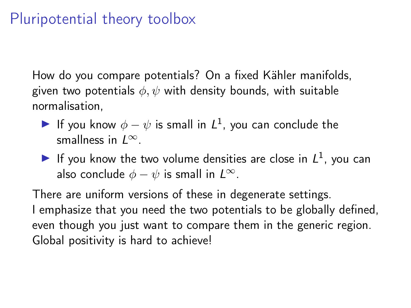#### Pluripotential theory toolbox

How do you compare potentials? On a fixed Kähler manifolds, given two potentials  $\phi, \psi$  with density bounds, with suitable normalisation,

- If you know  $\phi \psi$  is small in  $L^1$ , you can conclude the smallness in  $L^{\infty}$ .
- If you know the two volume densities are close in  $L^1$ , you can also conclude  $\phi - \psi$  is small in  $L^{\infty}$ .

There are uniform versions of these in degenerate settings. I emphasize that you need the two potentials to be globally defined, even though you just want to compare them in the generic region. Global positivity is hard to achieve!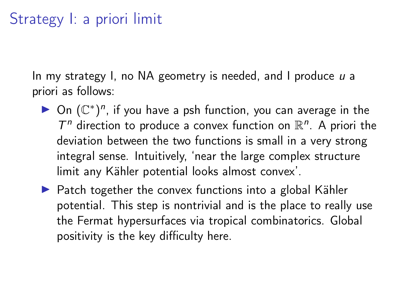#### Strategy I: a priori limit

In my strategy I, no NA geometry is needed, and I produce  $u$  a priori as follows:

- ▶ On  $(\mathbb{C}^*)^n$ , if you have a psh function, you can average in the  $T^n$  direction to produce a convex function on  $\mathbb{R}^n$ . A priori the deviation between the two functions is small in a very strong integral sense. Intuitively, 'near the large complex structure limit any Kähler potential looks almost convex'.
- $\blacktriangleright$  Patch together the convex functions into a global Kähler potential. This step is nontrivial and is the place to really use the Fermat hypersurfaces via tropical combinatorics. Global positivity is the key difficulty here.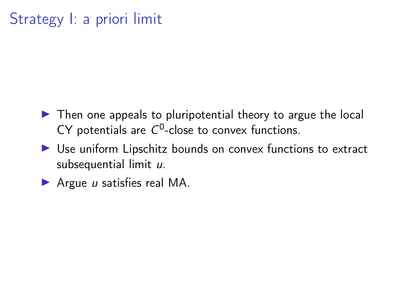### Strategy I: a priori limit

- $\triangleright$  Then one appeals to pluripotential theory to argue the local CY potentials are  $C^0$ -close to convex functions.
- $\triangleright$  Use uniform Lipschitz bounds on convex functions to extract subsequential limit  $u$ .
- Argue  $u$  satisfies real MA.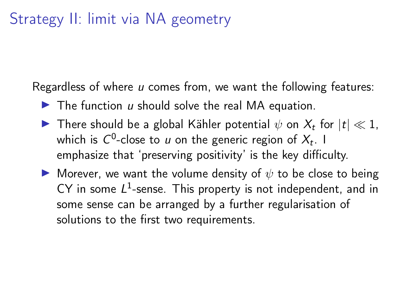#### Strategy II: limit via NA geometry

Regardless of where u comes from, we want the following features:

- $\blacktriangleright$  The function u should solve the real MA equation.
- **I** There should be a global Kähler potential  $\psi$  on  $X_t$  for  $|t| \ll 1$ , which is  $C^0$ -close to  $u$  on the generic region of  $X_t$ . I emphasize that 'preserving positivity' is the key difficulty.
- **IF** Morever, we want the volume density of  $\psi$  to be close to being CY in some  $L^1$ -sense. This property is not independent, and in some sense can be arranged by a further regularisation of solutions to the first two requirements.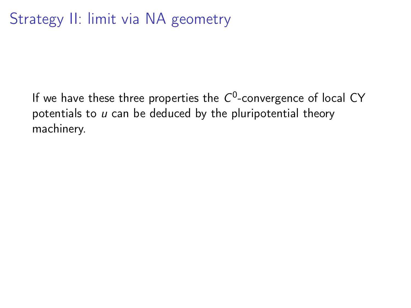If we have these three properties the  $C^0$ -convergence of local CY potentials to  $u$  can be deduced by the pluripotential theory machinery.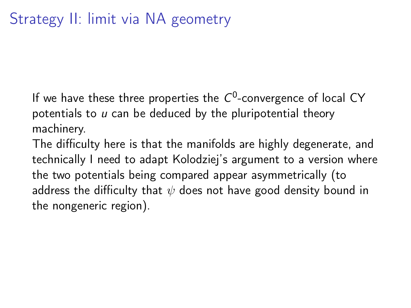If we have these three properties the  $C^0$ -convergence of local CY potentials to  $u$  can be deduced by the pluripotential theory machinery.

The difficulty here is that the manifolds are highly degenerate, and technically I need to adapt Kolodziej's argument to a version where the two potentials being compared appear asymmetrically (to address the difficulty that  $\psi$  does not have good density bound in the nongeneric region).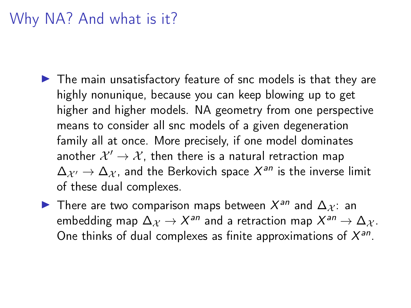#### Why NA? And what is it?

- $\blacktriangleright$  The main unsatisfactory feature of snc models is that they are highly nonunique, because you can keep blowing up to get higher and higher models. NA geometry from one perspective means to consider all snc models of a given degeneration family all at once. More precisely, if one model dominates another  $\mathcal{X}'\rightarrow\mathcal{X}$ , then there is a natural retraction map  $\Delta_{\mathcal{X}'}\rightarrow\Delta_{\mathcal{X}}$ , and the Berkovich space  $\mathcal{X}^{\mathit{an}}$  is the inverse limit of these dual complexes.
- ► There are two comparison maps between  $X^{an}$  and  $\Delta_{\mathcal{X}}$ : an embedding map  $\Delta_\mathcal{X} \to X^\mathsf{an}$  and a retraction map  $X^\mathsf{an} \to \Delta_\mathcal{X}.$ One thinks of dual complexes as finite approximations of  $X^{an}$ .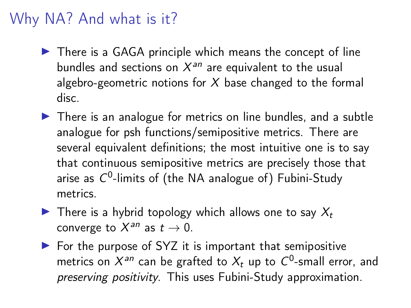#### Why NA? And what is it?

- $\triangleright$  There is a GAGA principle which means the concept of line bundles and sections on  $X^{an}$  are equivalent to the usual algebro-geometric notions for  $X$  base changed to the formal disc.
- $\triangleright$  There is an analogue for metrics on line bundles, and a subtle analogue for psh functions/semipositive metrics. There are several equivalent definitions; the most intuitive one is to say that continuous semipositive metrics are precisely those that arise as  $C^0$ -limits of (the NA analogue of) Fubini-Study metrics.
- $\blacktriangleright$  There is a hybrid topology which allows one to say  $X_t$ converge to  $X^{an}$  as  $t \to 0$ .
- $\triangleright$  For the purpose of SYZ it is important that semipositive metrics on  $X^{an}$  can be grafted to  $X_t$  up to  $C^0$ -small error, and preserving positivity. This uses Fubini-Study approximation.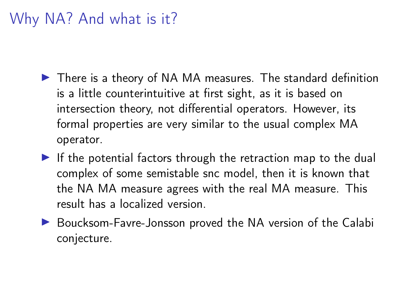# Why NA? And what is it?

- $\blacktriangleright$  There is a theory of NA MA measures. The standard definition is a little counterintuitive at first sight, as it is based on intersection theory, not differential operators. However, its formal properties are very similar to the usual complex MA operator.
- $\blacktriangleright$  If the potential factors through the retraction map to the dual complex of some semistable snc model, then it is known that the NA MA measure agrees with the real MA measure. This result has a localized version.
- ▶ Boucksom-Favre-Jonsson proved the NA version of the Calabi conjecture.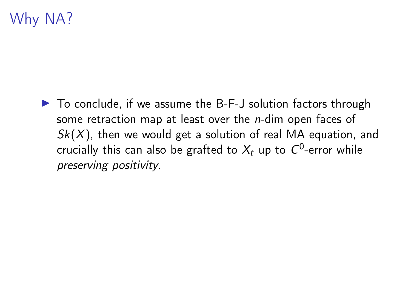# Why NA?

 $\triangleright$  To conclude, if we assume the B-F-J solution factors through some retraction map at least over the *n*-dim open faces of  $Sk(X)$ , then we would get a solution of real MA equation, and crucially this can also be grafted to  $X_t$  up to  $C^0$ -error while preserving positivity.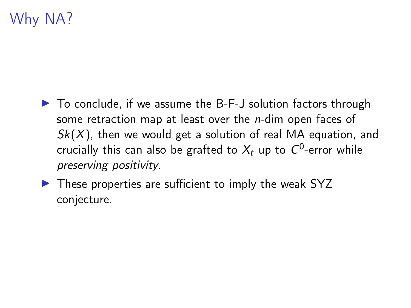# Why NA?

- $\triangleright$  To conclude, if we assume the B-F-J solution factors through some retraction map at least over the *n*-dim open faces of  $Sk(X)$ , then we would get a solution of real MA equation, and crucially this can also be grafted to  $X_t$  up to  $C^0$ -error while preserving positivity.
- $\triangleright$  These properties are sufficient to imply the weak SYZ conjecture.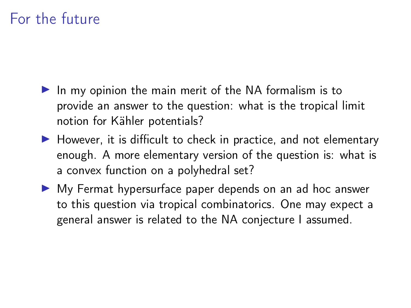# For the future

- $\blacktriangleright$  In my opinion the main merit of the NA formalism is to provide an answer to the question: what is the tropical limit notion for Kähler potentials?
- $\blacktriangleright$  However, it is difficult to check in practice, and not elementary enough. A more elementary version of the question is: what is a convex function on a polyhedral set?
- $\triangleright$  My Fermat hypersurface paper depends on an ad hoc answer to this question via tropical combinatorics. One may expect a general answer is related to the NA conjecture I assumed.